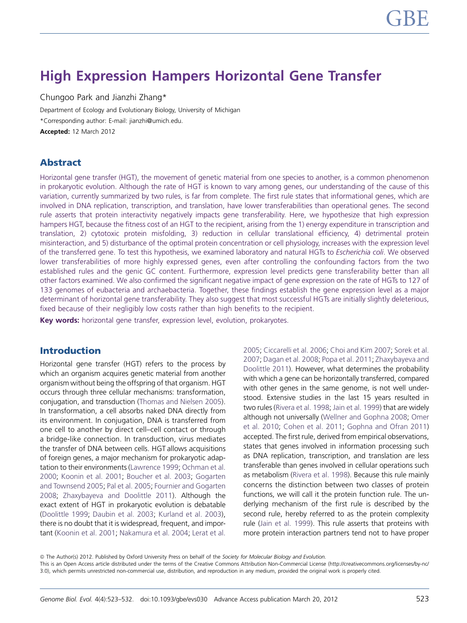# High Expression Hampers Horizontal Gene Transfer

Chungoo Park and Jianzhi Zhang\*

Department of Ecology and Evolutionary Biology, University of Michigan \*Corresponding author: E-mail: jianzhi@umich.edu. Accepted: 12 March 2012

# Abstract

Horizontal gene transfer (HGT), the movement of genetic material from one species to another, is a common phenomenon in prokaryotic evolution. Although the rate of HGT is known to vary among genes, our understanding of the cause of this variation, currently summarized by two rules, is far from complete. The first rule states that informational genes, which are involved in DNA replication, transcription, and translation, have lower transferabilities than operational genes. The second rule asserts that protein interactivity negatively impacts gene transferability. Here, we hypothesize that high expression hampers HGT, because the fitness cost of an HGT to the recipient, arising from the 1) energy expenditure in transcription and translation, 2) cytotoxic protein misfolding, 3) reduction in cellular translational efficiency, 4) detrimental protein misinteraction, and 5) disturbance of the optimal protein concentration or cell physiology, increases with the expression level of the transferred gene. To test this hypothesis, we examined laboratory and natural HGTs to Escherichia coli. We observed lower transferabilities of more highly expressed genes, even after controlling the confounding factors from the two established rules and the genic GC content. Furthermore, expression level predicts gene transferability better than all other factors examined. We also confirmed the significant negative impact of gene expression on the rate of HGTs to 127 of 133 genomes of eubacteria and archaebacteria. Together, these findings establish the gene expression level as a major determinant of horizontal gene transferability. They also suggest that most successful HGTs are initially slightly deleterious, fixed because of their negligibly low costs rather than high benefits to the recipient.

Key words: horizontal gene transfer, expression level, evolution, prokaryotes.

# Introduction

Horizontal gene transfer (HGT) refers to the process by which an organism acquires genetic material from another organism without being the offspring of that organism. HGT occurs through three cellular mechanisms: transformation, conjugation, and transduction ([Thomas and Nielsen 2005](#page-9-0)). In transformation, a cell absorbs naked DNA directly from its environment. In conjugation, DNA is transferred from one cell to another by direct cell–cell contact or through a bridge-like connection. In transduction, virus mediates the transfer of DNA between cells. HGT allows acquisitions of foreign genes, a major mechanism for prokaryotic adaptation to their environments [\(Lawrence 1999;](#page-9-0) [Ochman et al.](#page-9-0) [2000;](#page-9-0) [Koonin et al. 2001;](#page-9-0) [Boucher et al. 2003](#page-8-0); [Gogarten](#page-8-0) [and Townsend 2005;](#page-8-0) [Pal et al. 2005](#page-9-0); [Fournier and Gogarten](#page-8-0) [2008;](#page-8-0) [Zhaxybayeva and Doolittle 2011\)](#page-9-0). Although the exact extent of HGT in prokaryotic evolution is debatable ([Doolittle 1999](#page-8-0); [Daubin et al. 2003;](#page-8-0) [Kurland et al. 2003](#page-9-0)), there is no doubt that it is widespread, frequent, and important ([Koonin et al. 2001](#page-9-0); [Nakamura et al. 2004;](#page-9-0) [Lerat et al.](#page-9-0) [2005](#page-9-0); [Ciccarelli et al. 2006](#page-8-0); [Choi and Kim 2007](#page-8-0); [Sorek et al.](#page-9-0) [2007](#page-9-0); [Dagan et al. 2008;](#page-8-0) [Popa et al. 2011](#page-9-0); [Zhaxybayeva and](#page-9-0) [Doolittle 2011](#page-9-0)). However, what determines the probability with which a gene can be horizontally transferred, compared with other genes in the same genome, is not well understood. Extensive studies in the last 15 years resulted in two rules ([Rivera et al. 1998;](#page-9-0) [Jain et al. 1999\)](#page-8-0) that are widely although not universally ([Wellner and Gophna 2008](#page-9-0); [Omer](#page-9-0) [et al. 2010](#page-9-0); [Cohen et al. 2011;](#page-8-0) [Gophna and Ofran 2011](#page-8-0)) accepted. The first rule, derived from empirical observations, states that genes involved in information processing such as DNA replication, transcription, and translation are less transferable than genes involved in cellular operations such as metabolism [\(Rivera et al. 1998](#page-9-0)). Because this rule mainly concerns the distinction between two classes of protein functions, we will call it the protein function rule. The underlying mechanism of the first rule is described by the second rule, hereby referred to as the protein complexity rule ([Jain et al. 1999](#page-8-0)). This rule asserts that proteins with more protein interaction partners tend not to have proper

*ª* The Author(s) 2012. Published by Oxford University Press on behalf of the Society for Molecular Biology and Evolution.

This is an Open Access article distributed under the terms of the Creative Commons Attribution Non-Commercial License (http://creativecommons.org/licenses/by-nc/ 3.0), which permits unrestricted non-commercial use, distribution, and reproduction in any medium, provided the original work is properly cited.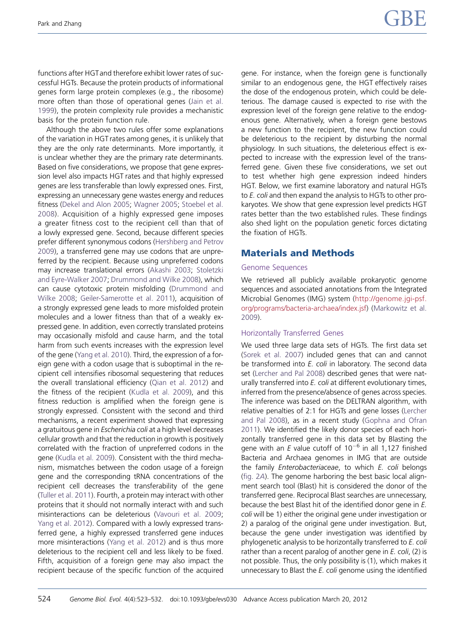functions after HGT and therefore exhibit lower rates of successful HGTs. Because the protein products of informational genes form large protein complexes (e.g., the ribosome) more often than those of operational genes [\(Jain et al.](#page-8-0) [1999](#page-8-0)), the protein complexity rule provides a mechanistic basis for the protein function rule.

Although the above two rules offer some explanations of the variation in HGT rates among genes, it is unlikely that they are the only rate determinants. More importantly, it is unclear whether they are the primary rate determinants. Based on five considerations, we propose that gene expression level also impacts HGT rates and that highly expressed genes are less transferable than lowly expressed ones. First, expressing an unnecessary gene wastes energy and reduces fitness [\(Dekel and Alon 2005](#page-8-0); [Wagner 2005](#page-9-0); [Stoebel et al.](#page-9-0) [2008\)](#page-9-0). Acquisition of a highly expressed gene imposes a greater fitness cost to the recipient cell than that of a lowly expressed gene. Second, because different species prefer different synonymous codons [\(Hershberg and Petrov](#page-8-0) [2009](#page-8-0)), a transferred gene may use codons that are unpreferred by the recipient. Because using unpreferred codons may increase translational errors [\(Akashi 2003](#page-8-0); [Stoletzki](#page-9-0) [and Eyre-Walker 2007;](#page-9-0) [Drummond and Wilke 2008](#page-8-0)), which can cause cytotoxic protein misfolding ([Drummond and](#page-8-0) [Wilke 2008;](#page-8-0) [Geiler-Samerotte et al. 2011](#page-8-0)), acquisition of a strongly expressed gene leads to more misfolded protein molecules and a lower fitness than that of a weakly expressed gene. In addition, even correctly translated proteins may occasionally misfold and cause harm, and the total harm from such events increases with the expression level of the gene [\(Yang et al. 2010\)](#page-9-0). Third, the expression of a foreign gene with a codon usage that is suboptimal in the recipient cell intensifies ribosomal sequestering that reduces the overall translational efficiency ([Qian et al. 2012\)](#page-9-0) and the fitness of the recipient [\(Kudla et al. 2009\)](#page-9-0), and this fitness reduction is amplified when the foreign gene is strongly expressed. Consistent with the second and third mechanisms, a recent experiment showed that expressing a gratuitous gene in Escherichia coli at a high level decreases cellular growth and that the reduction in growth is positively correlated with the fraction of unpreferred codons in the gene ([Kudla et al. 2009](#page-9-0)). Consistent with the third mechanism, mismatches between the codon usage of a foreign gene and the corresponding tRNA concentrations of the recipient cell decreases the transferability of the gene ([Tuller et al. 2011](#page-9-0)). Fourth, a protein may interact with other proteins that it should not normally interact with and such misinteractions can be deleterious [\(Vavouri et al. 2009](#page-9-0); [Yang et al. 2012\)](#page-9-0). Compared with a lowly expressed transferred gene, a highly expressed transferred gene induces more misinteractions [\(Yang et al. 2012\)](#page-9-0) and is thus more deleterious to the recipient cell and less likely to be fixed. Fifth, acquisition of a foreign gene may also impact the recipient because of the specific function of the acquired

gene. For instance, when the foreign gene is functionally similar to an endogenous gene, the HGT effectively raises the dose of the endogenous protein, which could be deleterious. The damage caused is expected to rise with the expression level of the foreign gene relative to the endogenous gene. Alternatively, when a foreign gene bestows a new function to the recipient, the new function could be deleterious to the recipient by disturbing the normal physiology. In such situations, the deleterious effect is expected to increase with the expression level of the transferred gene. Given these five considerations, we set out to test whether high gene expression indeed hinders HGT. Below, we first examine laboratory and natural HGTs to E. coli and then expand the analysis to HGTs to other prokaryotes. We show that gene expression level predicts HGT rates better than the two established rules. These findings also shed light on the population genetic forces dictating the fixation of HGTs.

# Materials and Methods

## Genome Sequences

We retrieved all publicly available prokaryotic genome sequences and associated annotations from the Integrated Microbial Genomes (IMG) system ([http://genome.jgi-psf.](http://genome.jgi-psf.org/programs/bacteria-archaea/index.jsf) [org/programs/bacteria-archaea/index.jsf](http://genome.jgi-psf.org/programs/bacteria-archaea/index.jsf)) [\(Markowitz et al.](#page-9-0) [2009](#page-9-0)).

## Horizontally Transferred Genes

We used three large data sets of HGTs. The first data set [\(Sorek et al. 2007](#page-9-0)) included genes that can and cannot be transformed into E. coli in laboratory. The second data set ([Lercher and Pal 2008](#page-9-0)) described genes that were naturally transferred into E. coli at different evolutionary times, inferred from the presence/absence of genes across species. The inference was based on the DELTRAN algorithm, with relative penalties of 2:1 for HGTs and gene losses ([Lercher](#page-9-0) [and Pal 2008\)](#page-9-0), as in a recent study ([Gophna and Ofran](#page-8-0) [2011](#page-8-0)). We identified the likely donor species of each horizontally transferred gene in this data set by Blasting the gene with an E value cutoff of  $10^{-6}$  in all 1,127 finished Bacteria and Archaea genomes in IMG that are outside the family *Enterobacteriaceae*, to which *E. coli* belongs [\(fig. 2](#page-5-0)A). The genome harboring the best basic local alignment search tool (Blast) hit is considered the donor of the transferred gene. Reciprocal Blast searches are unnecessary, because the best Blast hit of the identified donor gene in E. coli will be 1) either the original gene under investigation or 2) a paralog of the original gene under investigation. But, because the gene under investigation was identified by phylogenetic analysis to be horizontally transferred to E. coli rather than a recent paralog of another gene in  $E$ . coli,  $(2)$  is not possible. Thus, the only possibility is (1), which makes it unnecessary to Blast the E. coli genome using the identified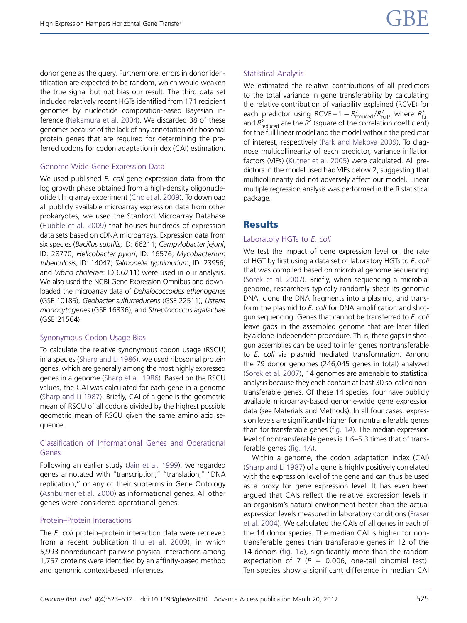donor gene as the query. Furthermore, errors in donor identification are expected to be random, which would weaken the true signal but not bias our result. The third data set included relatively recent HGTs identified from 171 recipient genomes by nucleotide composition-based Bayesian inference ([Nakamura et al. 2004](#page-9-0)). We discarded 38 of these genomes because of the lack of any annotation of ribosomal protein genes that are required for determining the preferred codons for codon adaptation index (CAI) estimation.

#### Genome-Wide Gene Expression Data

We used published E. coli gene expression data from the log growth phase obtained from a high-density oligonucleotide tiling array experiment ([Cho et al. 2009\)](#page-8-0). To download all publicly available microarray expression data from other prokaryotes, we used the Stanford Microarray Database ([Hubble et al. 2009\)](#page-8-0) that houses hundreds of expression data sets based on cDNA microarrays. Expression data from six species (Bacillus subtilis, ID: 66211; Campylobacter jejuni, ID: 28770; Helicobacter pylori, ID: 16576; Mycobacterium tuberculosis, ID: 14047; Salmonella typhimurium, ID: 23956; and Vibrio cholerae: ID 66211) were used in our analysis. We also used the NCBI Gene Expression Omnibus and downloaded the microarray data of Dehalococcoides ethenogenes (GSE 10185), Geobacter sulfurreducens (GSE 22511), Listeria monocytogenes (GSE 16336), and Streptococcus agalactiae (GSE 21564).

## Synonymous Codon Usage Bias

To calculate the relative synonymous codon usage (RSCU) in a species [\(Sharp and Li 1986\)](#page-9-0), we used ribosomal protein genes, which are generally among the most highly expressed genes in a genome ([Sharp et al. 1986](#page-9-0)). Based on the RSCU values, the CAI was calculated for each gene in a genome ([Sharp and Li 1987](#page-9-0)). Briefly, CAI of a gene is the geometric mean of RSCU of all codons divided by the highest possible geometric mean of RSCU given the same amino acid sequence.

## Classification of Informational Genes and Operational Genes

Following an earlier study ([Jain et al. 1999](#page-8-0)), we regarded genes annotated with "transcription," "translation," "DNA replication,'' or any of their subterms in Gene Ontology ([Ashburner et al. 2000\)](#page-8-0) as informational genes. All other genes were considered operational genes.

## Protein–Protein Interactions

The E. coli protein–protein interaction data were retrieved from a recent publication ([Hu et al. 2009](#page-8-0)), in which 5,993 nonredundant pairwise physical interactions among 1,757 proteins were identified by an affinity-based method and genomic context-based inferences.

## Statistical Analysis

We estimated the relative contributions of all predictors to the total variance in gene transferability by calculating the relative contribution of variability explained (RCVE) for each predictor using  $RCVE=1 - R_{reduced}^2/R_{full}^2$ , where  $R_{full}^2$ and  $R_{\text{reduced}}^2$  are the  $R^2$  (square of the correlation coefficient) for the full linear model and the model without the predictor of interest, respectively [\(Park and Makova 2009\)](#page-9-0). To diagnose multicollinearity of each predictor, variance inflation factors (VIFs) ([Kutner et al. 2005](#page-9-0)) were calculated. All predictors in the model used had VIFs below 2, suggesting that multicollinearity did not adversely affect our model. Linear multiple regression analysis was performed in the R statistical package.

## **Results**

#### Laboratory HGTs to E. coli

We test the impact of gene expression level on the rate of HGT by first using a data set of laboratory HGTs to E. coli that was compiled based on microbial genome sequencing [\(Sorek et al. 2007\)](#page-9-0). Briefly, when sequencing a microbial genome, researchers typically randomly shear its genomic DNA, clone the DNA fragments into a plasmid, and transform the plasmid to E. coli for DNA amplification and shotgun sequencing. Genes that cannot be transferred to E. coli leave gaps in the assembled genome that are later filled by a clone-independent procedure. Thus, these gaps in shotgun assemblies can be used to infer genes nontransferable to E. coli via plasmid mediated transformation. Among the 79 donor genomes (246,045 genes in total) analyzed [\(Sorek et al. 2007\)](#page-9-0), 14 genomes are amenable to statistical analysis because they each contain at least 30 so-called nontransferable genes. Of these 14 species, four have publicly available microarray-based genome-wide gene expression data (see Materials and Methods). In all four cases, expression levels are significantly higher for nontransferable genes than for transferable genes [\(fig. 1](#page-3-0)A). The median expression level of nontransferable genes is 1.6–5.3 times that of transferable genes ([fig. 1](#page-3-0)A).

Within a genome, the codon adaptation index (CAI) [\(Sharp and Li 1987](#page-9-0)) of a gene is highly positively correlated with the expression level of the gene and can thus be used as a proxy for gene expression level. It has even been argued that CAIs reflect the relative expression levels in an organism's natural environment better than the actual expression levels measured in laboratory conditions ([Fraser](#page-8-0) [et al. 2004](#page-8-0)). We calculated the CAIs of all genes in each of the 14 donor species. The median CAI is higher for nontransferable genes than transferable genes in 12 of the 14 donors (fig.  $1B$ ), significantly more than the random expectation of 7 ( $P = 0.006$ , one-tail binomial test). Ten species show a significant difference in median CAI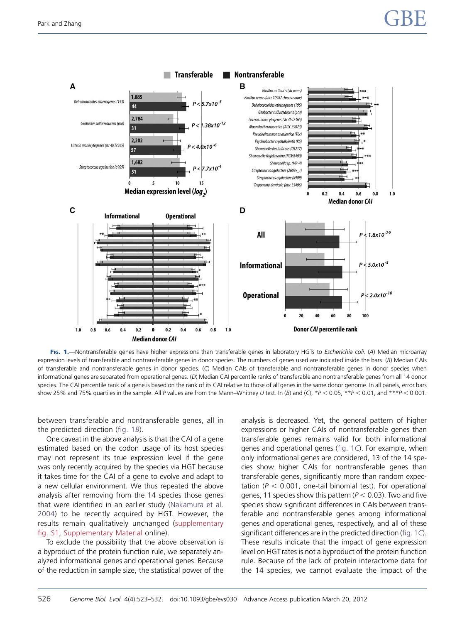<span id="page-3-0"></span>

FIG. 1.—Nontransferable genes have higher expressions than transferable genes in laboratory HGTs to Escherichia coli. (A) Median microarray expression levels of transferable and nontransferable genes in donor species. The numbers of genes used are indicated inside the bars. (B) Median CAIs of transferable and nontransferable genes in donor species. (C) Median CAIs of transferable and nontransferable genes in donor species when informational genes are separated from operational genes. (D) Median CAI percentile ranks of transferable and nontransferable genes from all 14 donor species. The CAI percentile rank of a gene is based on the rank of its CAI relative to those of all genes in the same donor genome. In all panels, error bars show 25% and 75% quartiles in the sample. All P values are from the Mann–Whitney U test. In (B) and (C), \*P < 0.05, \*\*P < 0.01, and \*\*\*P < 0.001.

between transferable and nontransferable genes, all in the predicted direction (fig. 1B).

One caveat in the above analysis is that the CAI of a gene estimated based on the codon usage of its host species may not represent its true expression level if the gene was only recently acquired by the species via HGT because it takes time for the CAI of a gene to evolve and adapt to a new cellular environment. We thus repeated the above analysis after removing from the 14 species those genes that were identified in an earlier study [\(Nakamura et al.](#page-9-0) [2004\)](#page-9-0) to be recently acquired by HGT. However, the results remain qualitatively unchanged [\(supplementary](http://www.gbe.oxfordjournals.org/lookup/suppl/doi:10.1093/gbe/evs030/-/DC1) [fig. S1](http://www.gbe.oxfordjournals.org/lookup/suppl/doi:10.1093/gbe/evs030/-/DC1), [Supplementary Material](http://www.gbe.oxfordjournals.org/lookup/suppl/doi:10.1093/gbe/evs030/-/DC1) online).

To exclude the possibility that the above observation is a byproduct of the protein function rule, we separately analyzed informational genes and operational genes. Because of the reduction in sample size, the statistical power of the analysis is decreased. Yet, the general pattern of higher expressions or higher CAIs of nontransferable genes than transferable genes remains valid for both informational genes and operational genes (fig.  $1\text{C}$ ). For example, when only informational genes are considered, 13 of the 14 species show higher CAIs for nontransferable genes than transferable genes, significantly more than random expectation ( $P < 0.001$ , one-tail binomial test). For operational genes, 11 species show this pattern ( $P < 0.03$ ). Two and five species show significant differences in CAIs between transferable and nontransferable genes among informational genes and operational genes, respectively, and all of these significant differences are in the predicted direction (fig. 1C). These results indicate that the impact of gene expression level on HGT rates is not a byproduct of the protein function rule. Because of the lack of protein interactome data for the 14 species, we cannot evaluate the impact of the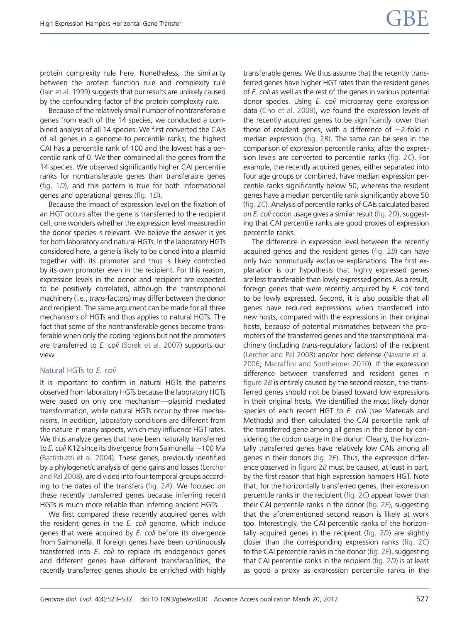protein complexity rule here. Nonetheless, the similarity between the protein function rule and complexity rule ([Jain et al. 1999](#page-8-0)) suggests that our results are unlikely caused by the confounding factor of the protein complexity rule.

Because of the relatively small number of nontransferable genes from each of the 14 species, we conducted a combined analysis of all 14 species. We first converted the CAIs of all genes in a genome to percentile ranks; the highest CAI has a percentile rank of 100 and the lowest has a percentile rank of 0. We then combined all the genes from the 14 species. We observed significantly higher CAI percentile ranks for nontransferable genes than transferable genes ([fig. 1](#page-3-0)D), and this pattern is true for both informational genes and operational genes [\(fig. 1](#page-3-0)D).

Because the impact of expression level on the fixation of an HGT occurs after the gene is transferred to the recipient cell, one wonders whether the expression level measured in the donor species is relevant. We believe the answer is yes for both laboratory and natural HGTs. In the laboratory HGTs considered here, a gene is likely to be cloned into a plasmid together with its promoter and thus is likely controlled by its own promoter even in the recipient. For this reason, expression levels in the donor and recipient are expected to be positively correlated, although the transcriptional machinery (i.e., trans-factors) may differ between the donor and recipient. The same argument can be made for all three mechanisms of HGTs and thus applies to natural HGTs. The fact that some of the nontransferable genes become transferable when only the coding regions but not the promoters are transferred to E. coli ([Sorek et al. 2007\)](#page-9-0) supports our view.

#### Natural HGTs to E. coli

It is important to confirm in natural HGTs the patterns observed from laboratory HGTs because the laboratory HGTs were based on only one mechanism—plasmid mediated transformation, while natural HGTs occur by three mechanisms. In addition, laboratory conditions are different from the nature in many aspects, which may influence HGT rates. We thus analyze genes that have been naturally transferred to E. coli K12 since its divergence from Salmonella  $\sim$ 100 Ma ([Battistuzzi et al. 2004\)](#page-8-0). These genes, previously identified by a phylogenetic analysis of gene gains and losses [\(Lercher](#page-9-0) [and Pal 2008](#page-9-0)), are divided into four temporal groups according to the dates of the transfers ([fig. 2](#page-5-0)A). We focused on these recently transferred genes because inferring recent HGTs is much more reliable than inferring ancient HGTs.

We first compared these recently acquired genes with the resident genes in the  $E$ . coli genome, which include genes that were acquired by E. coli before its divergence from Salmonella. If foreign genes have been continuously transferred into E. coli to replace its endogenous genes and different genes have different transferabilities, the recently transferred genes should be enriched with highly transferable genes. We thus assume that the recently transferred genes have higher HGT rates than the resident genes of E. coli as well as the rest of the genes in various potential donor species. Using E. coli microarray gene expression data [\(Cho et al. 2009\)](#page-8-0), we found the expression levels of the recently acquired genes to be significantly lower than those of resident genes, with a difference of  $\sim$ 2-fold in median expression ([fig. 2](#page-5-0)B). The same can be seen in the comparison of expression percentile ranks, after the expression levels are converted to percentile ranks ([fig. 2](#page-5-0)C). For example, the recently acquired genes, either separated into four age groups or combined, have median expression percentile ranks significantly below 50, whereas the resident genes have a median percentile rank significantly above 50 [\(fig. 2](#page-5-0)C). Analysis of percentile ranks of CAIs calculated based on E. coli codon usage gives a similar result [\(fig. 2](#page-5-0)D), suggesting that CAI percentile ranks are good proxies of expression percentile ranks.

The difference in expression level between the recently acquired genes and the resident genes ([fig. 2](#page-5-0)B) can have only two nonmutually exclusive explanations. The first explanation is our hypothesis that highly expressed genes are less transferable than lowly expressed genes. As a result, foreign genes that were recently acquired by E. coli tend to be lowly expressed. Second, it is also possible that all genes have reduced expressions when transferred into new hosts, compared with the expressions in their original hosts, because of potential mismatches between the promoters of the transferred genes and the transcriptional machinery (including trans-regulatory factors) of the recipient [\(Lercher and Pal 2008\)](#page-9-0) and/or host defense [\(Navarre et al.](#page-9-0) [2006](#page-9-0); [Marraffini and Sontheimer 2010\)](#page-9-0). If the expression difference between transferred and resident genes in figure  $2B$  is entirely caused by the second reason, the transferred genes should not be biased toward low expressions in their original hosts. We identified the most likely donor species of each recent HGT to E. coli (see Materials and Methods) and then calculated the CAI percentile rank of the transferred gene among all genes in the donor by considering the codon usage in the donor. Clearly, the horizontally transferred genes have relatively low CAIs among all genes in their donors [\(fig. 2](#page-5-0)E). Thus, the expression difference observed in [figure 2](#page-5-0)B must be caused, at least in part, by the first reason that high expression hampers HGT. Note that, for the horizontally transferred genes, their expression percentile ranks in the recipient [\(fig. 2](#page-5-0)C) appear lower than their CAI percentile ranks in the donor ([fig. 2](#page-5-0)E), suggesting that the aforementioned second reason is likely at work too. Interestingly, the CAI percentile ranks of the horizontally acquired genes in the recipient [\(fig. 2](#page-5-0)D) are slightly closer than the corresponding expression ranks ([fig. 2](#page-5-0)C) to the CAI percentile ranks in the donor [\(fig. 2](#page-5-0)E), suggesting that CAI percentile ranks in the recipient ([fig. 2](#page-5-0)D) is at least as good a proxy as expression percentile ranks in the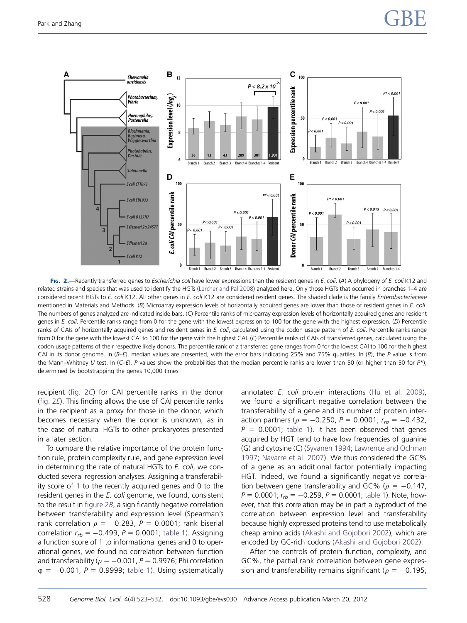<span id="page-5-0"></span>

FIG. 2.—Recently transferred genes to *Escherichia coli* have lower expressions than the resident genes in E. coli. (A) A phylogeny of E. coli K12 and related strains and species that was used to identify the HGTs [\(Lercher and Pal 2008\)](#page-9-0) analyzed here. Only those HGTs that occurred in branches 1–4 are considered recent HGTs to E. coli K12. All other genes in E. coli K12 are considered resident genes. The shaded clade is the family Enterobacteriaceae mentioned in Materials and Methods. (B) Microarray expression levels of horizontally acquired genes are lower than those of resident genes in E. coli. The numbers of genes analyzed are indicated inside bars. (C) Percentile ranks of microarray expression levels of horizontally acquired genes and resident genes in E. coli. Percentile ranks range from 0 for the gene with the lowest expression to 100 for the gene with the highest expression. (D) Percentile ranks of CAIs of horizontally acquired genes and resident genes in E. coli, calculated using the codon usage pattern of E. coli. Percentile ranks range from 0 for the gene with the lowest CAI to 100 for the gene with the highest CAI. (E) Percentile ranks of CAIs of transferred genes, calculated using the codon usage patterns of their respective likely donors. The percentile rank of a transferred gene ranges from 0 for the lowest CAI to 100 for the highest CAI in its donor genome. In ( $B$ –E), median values are presented, with the error bars indicating 25% and 75% quartiles. In ( $B$ ), the P value is from the Mann–Whitney U test. In (C–E), P values show the probabilities that the median percentile ranks are lower than 50 (or higher than 50 for  $P^*$ ), determined by bootstrapping the genes 10,000 times.

recipient (fig. 2C) for CAI percentile ranks in the donor (fig. 2E). This finding allows the use of CAI percentile ranks in the recipient as a proxy for those in the donor, which becomes necessary when the donor is unknown, as in the case of natural HGTs to other prokaryotes presented in a later section.

To compare the relative importance of the protein function rule, protein complexity rule, and gene expression level in determining the rate of natural HGTs to E. coli, we conducted several regression analyses. Assigning a transferability score of 1 to the recently acquired genes and 0 to the resident genes in the E. coli genome, we found, consistent to the result in figure 2B, a significantly negative correlation between transferability and expression level (Spearman's rank correlation  $\rho = -0.283$ ,  $P = 0.0001$ ; rank biserial correlation  $r_{rb} = -0.499$ ,  $P = 0.0001$ ; [table 1\)](#page-6-0). Assigning a function score of 1 to informational genes and 0 to operational genes, we found no correlation between function and transferability ( $\rho = -0.001$ ,  $P = 0.9976$ ; Phi correlation  $\varphi = -0.001$ ,  $P = 0.9999$ ; [table 1](#page-6-0)). Using systematically annotated E. coli protein interactions ([Hu et al. 2009\)](#page-8-0), we found a significant negative correlation between the transferability of a gene and its number of protein interaction partners ( $\rho = -0.250$ ,  $P = 0.0001$ ;  $r_{rb} = -0.432$ ,  $P = 0.0001$ ; [table 1\)](#page-6-0). It has been observed that genes acquired by HGT tend to have low frequencies of guanine (G) and cytosine (C) ([Syvanen 1994](#page-9-0); [Lawrence and Ochman](#page-9-0) [1997](#page-9-0); [Navarre et al. 2007](#page-9-0)). We thus considered the GC% of a gene as an additional factor potentially impacting HGT. Indeed, we found a significantly negative correlation between gene transferability and GC% ( $\rho = -0.147$ ,  $P = 0.0001$ ;  $r_{rb} = -0.259$ ,  $P = 0.0001$ ; [table 1](#page-6-0)). Note, however, that this correlation may be in part a byproduct of the correlation between expression level and transferability because highly expressed proteins tend to use metabolically cheap amino acids ([Akashi and Gojobori 2002](#page-8-0)), which are encoded by GC-rich codons ([Akashi and Gojobori 2002](#page-8-0)).

After the controls of protein function, complexity, and GC%, the partial rank correlation between gene expression and transferability remains significant ( $\rho = -0.195$ ,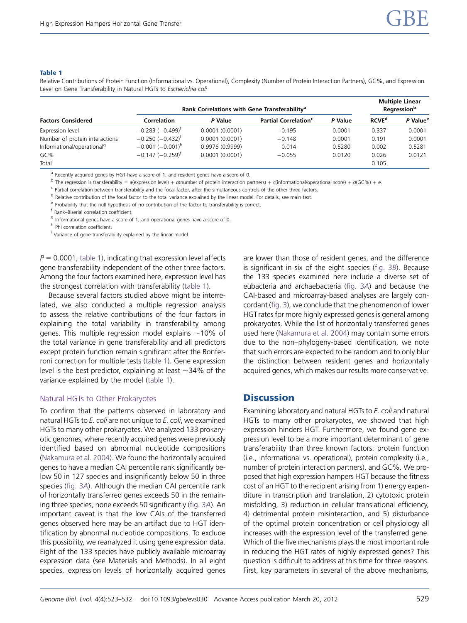#### <span id="page-6-0"></span>Table 1

Relative Contributions of Protein Function (Informational vs. Operational), Complexity (Number of Protein Interaction Partners), GC%, and Expression Level on Gene Transferability in Natural HGTs to Escherichia coli

| <b>Factors Considered</b>              | Rank Correlations with Gene Transferability <sup>a</sup> |                 |                                  |         | <b>Multiple Linear</b><br><b>Regression</b> b |                      |
|----------------------------------------|----------------------------------------------------------|-----------------|----------------------------------|---------|-----------------------------------------------|----------------------|
|                                        | <b>Correlation</b>                                       | P Value         | Partial Correlation <sup>c</sup> | P Value | <b>RCVE<sup>d</sup></b>                       | P Value <sup>e</sup> |
| Expression level                       | $-0.283$ $(-0.499)^{\dagger}$                            | 0.0001(0.0001)  | $-0.195$                         | 0.0001  | 0.337                                         | 0.0001               |
| Number of protein interactions         | $-0.250$ $(-0.432)^{t}$                                  | 0.0001(0.0001)  | $-0.148$                         | 0.0001  | 0.191                                         | 0.0001               |
| Informational/operational <sup>9</sup> | $-0.001(-0.001)^{h}$                                     | 0.9976 (0.9999) | 0.014                            | 0.5280  | 0.002                                         | 0.5281               |
| GC%                                    | $-0.147$ $(-0.259)^{\dagger}$                            | 0.0001(0.0001)  | $-0.055$                         | 0.0120  | 0.026                                         | 0.0121               |
| Total <sup>i</sup>                     |                                                          |                 |                                  |         | 0.105                                         |                      |

Recently acquired genes by HGT have a score of 1, and resident genes have a score of 0.

b The regression is transferability = a(expression level) + b(number of protein interaction partners) + c(informational/operational score) + d(GC%) + e.

 $c$  Partial correlation between transferability and the focal factor, after the simultaneous controls of the other three factors.

<sup>d</sup> Relative contribution of the focal factor to the total variance explained by the linear model. For details, see main text.

<sup>e</sup> Probability that the null hypothesis of no contribution of the factor to transferability is correct.

<sup>f</sup> Rank–Biserial correlation coefficient.

 $9$  Informational genes have a score of 1, and operational genes have a score of 0.

h Phi correlation coefficient.

<sup>i</sup> Variance of gene transferability explained by the linear model.

 $P = 0.0001$ ; table 1), indicating that expression level affects gene transferability independent of the other three factors. Among the four factors examined here, expression level has the strongest correlation with transferability (table 1).

Because several factors studied above might be interrelated, we also conducted a multiple regression analysis to assess the relative contributions of the four factors in explaining the total variability in transferability among genes. This multiple regression model explains  $\sim$ 10% of the total variance in gene transferability and all predictors except protein function remain significant after the Bonferroni correction for multiple tests (table 1). Gene expression level is the best predictor, explaining at least  $\sim$ 34% of the variance explained by the model (table 1).

#### Natural HGTs to Other Prokaryotes

To confirm that the patterns observed in laboratory and natural HGTs to E. coli are not unique to E. coli, we examined HGTs to many other prokaryotes. We analyzed 133 prokaryotic genomes, where recently acquired genes were previously identified based on abnormal nucleotide compositions ([Nakamura et al. 2004\)](#page-9-0). We found the horizontally acquired genes to have a median CAI percentile rank significantly below 50 in 127 species and insignificantly below 50 in three species ([fig. 3](#page-7-0)A). Although the median CAI percentile rank of horizontally transferred genes exceeds 50 in the remaining three species, none exceeds 50 significantly [\(fig. 3](#page-7-0)A). An important caveat is that the low CAIs of the transferred genes observed here may be an artifact due to HGT identification by abnormal nucleotide compositions. To exclude this possibility, we reanalyzed it using gene expression data. Eight of the 133 species have publicly available microarray expression data (see Materials and Methods). In all eight species, expression levels of horizontally acquired genes

are lower than those of resident genes, and the difference is significant in six of the eight species ([fig. 3](#page-7-0)B). Because the 133 species examined here include a diverse set of eubacteria and archaebacteria ([fig. 3](#page-7-0)A) and because the CAI-based and microarray-based analyses are largely concordant ([fig. 3](#page-7-0)), we conclude that the phenomenon of lower HGT rates for more highly expressed genes is general among prokaryotes. While the list of horizontally transferred genes used here ([Nakamura et al. 2004\)](#page-9-0) may contain some errors due to the non–phylogeny-based identification, we note that such errors are expected to be random and to only blur the distinction between resident genes and horizontally acquired genes, which makes our results more conservative.

# **Discussion**

Examining laboratory and natural HGTs to E. coli and natural HGTs to many other prokaryotes, we showed that high expression hinders HGT. Furthermore, we found gene expression level to be a more important determinant of gene transferability than three known factors: protein function (i.e., informational vs. operational), protein complexity (i.e., number of protein interaction partners), and GC%. We proposed that high expression hampers HGT because the fitness cost of an HGT to the recipient arising from 1) energy expenditure in transcription and translation, 2) cytotoxic protein misfolding, 3) reduction in cellular translational efficiency, 4) detrimental protein misinteraction, and 5) disturbance of the optimal protein concentration or cell physiology all increases with the expression level of the transferred gene. Which of the five mechanisms plays the most important role in reducing the HGT rates of highly expressed genes? This question is difficult to address at this time for three reasons. First, key parameters in several of the above mechanisms,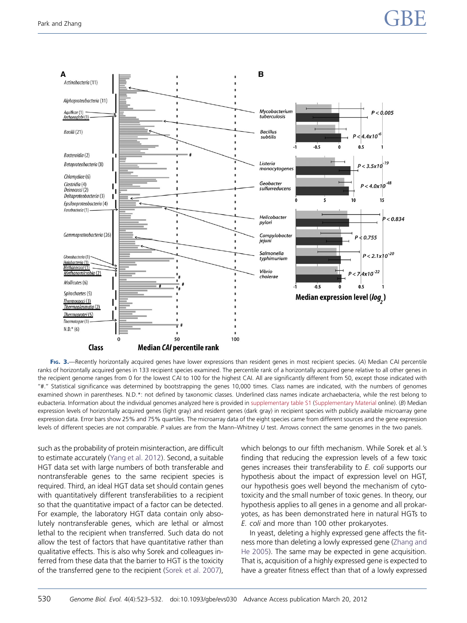<span id="page-7-0"></span>

FIG. 3.—Recently horizontally acquired genes have lower expressions than resident genes in most recipient species. (A) Median CAI percentile ranks of horizontally acquired genes in 133 recipient species examined. The percentile rank of a horizontally acquired gene relative to all other genes in the recipient genome ranges from 0 for the lowest CAI to 100 for the highest CAI. All are significantly different from 50, except those indicated with ''#.'' Statistical significance was determined by bootstrapping the genes 10,000 times. Class names are indicated, with the numbers of genomes examined shown in parentheses. N.D.\*: not defined by taxonomic classes. Underlined class names indicate archaebacteria, while the rest belong to eubacteria. Information about the individual genomes analyzed here is provided in [supplementary table S1](http://www.gbe.oxfordjournals.org/lookup/suppl/doi:10.1093/gbe/evs030/-/DC1) [\(Supplementary Material](http://www.gbe.oxfordjournals.org/lookup/suppl/doi:10.1093/gbe/evs030/-/DC1) online). (B) Median expression levels of horizontally acquired genes (light gray) and resident genes (dark gray) in recipient species with publicly available microarray gene expression data. Error bars show 25% and 75% quartiles. The microarray data of the eight species came from different sources and the gene expression levels of different species are not comparable. P values are from the Mann–Whitney U test. Arrows connect the same genomes in the two panels.

such as the probability of protein misinteraction, are difficult to estimate accurately [\(Yang et al. 2012](#page-9-0)). Second, a suitable HGT data set with large numbers of both transferable and nontransferable genes to the same recipient species is required. Third, an ideal HGT data set should contain genes with quantitatively different transferabilities to a recipient so that the quantitative impact of a factor can be detected. For example, the laboratory HGT data contain only absolutely nontransferable genes, which are lethal or almost lethal to the recipient when transferred. Such data do not allow the test of factors that have quantitative rather than qualitative effects. This is also why Sorek and colleagues inferred from these data that the barrier to HGT is the toxicity of the transferred gene to the recipient ([Sorek et al. 2007\)](#page-9-0),

which belongs to our fifth mechanism. While Sorek et al.'s finding that reducing the expression levels of a few toxic genes increases their transferability to E. coli supports our hypothesis about the impact of expression level on HGT, our hypothesis goes well beyond the mechanism of cytotoxicity and the small number of toxic genes. In theory, our hypothesis applies to all genes in a genome and all prokaryotes, as has been demonstrated here in natural HGTs to E. coli and more than 100 other prokaryotes.

In yeast, deleting a highly expressed gene affects the fitness more than deleting a lowly expressed gene ([Zhang and](#page-9-0) [He 2005\)](#page-9-0). The same may be expected in gene acquisition. That is, acquisition of a highly expressed gene is expected to have a greater fitness effect than that of a lowly expressed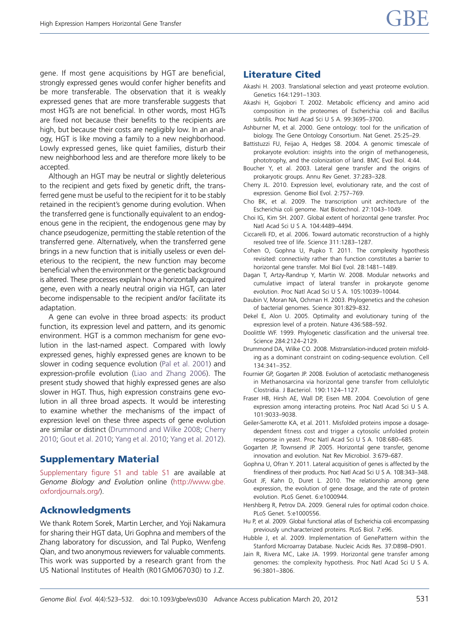<span id="page-8-0"></span>gene. If most gene acquisitions by HGT are beneficial, strongly expressed genes would confer higher benefits and be more transferable. The observation that it is weakly expressed genes that are more transferable suggests that most HGTs are not beneficial. In other words, most HGTs are fixed not because their benefits to the recipients are high, but because their costs are negligibly low. In an analogy, HGT is like moving a family to a new neighborhood. Lowly expressed genes, like quiet families, disturb their new neighborhood less and are therefore more likely to be accepted.

Although an HGT may be neutral or slightly deleterious to the recipient and gets fixed by genetic drift, the transferred gene must be useful to the recipient for it to be stably retained in the recipient's genome during evolution. When the transferred gene is functionally equivalent to an endogenous gene in the recipient, the endogenous gene may by chance pseudogenize, permitting the stable retention of the transferred gene. Alternatively, when the transferred gene brings in a new function that is initially useless or even deleterious to the recipient, the new function may become beneficial when the environment or the genetic background is altered. These processes explain how a horizontally acquired gene, even with a nearly neutral origin via HGT, can later become indispensable to the recipient and/or facilitate its adaptation.

A gene can evolve in three broad aspects: its product function, its expression level and pattern, and its genomic environment. HGT is a common mechanism for gene evolution in the last-named aspect. Compared with lowly expressed genes, highly expressed genes are known to be slower in coding sequence evolution [\(Pal et al. 2001](#page-9-0)) and expression-profile evolution ([Liao and Zhang 2006\)](#page-9-0). The present study showed that highly expressed genes are also slower in HGT. Thus, high expression constrains gene evolution in all three broad aspects. It would be interesting to examine whether the mechanisms of the impact of expression level on these three aspects of gene evolution are similar or distinct (Drummond and Wilke 2008; Cherry 2010; Gout et al. 2010; [Yang et al. 2010](#page-9-0); [Yang et al. 2012](#page-9-0)).

## Supplementary Material

[Supplementary figure S1 and table S1](http://www.gbe.oxfordjournals.org/lookup/suppl/doi:10.1093/gbe/evs030/-/DC1) are available at Genome Biology and Evolution online ([http://www.gbe.](http://www.gbe.oxfordjournals.org/) [oxfordjournals.org/\)](http://www.gbe.oxfordjournals.org/).

## Acknowledgments

We thank Rotem Sorek, Martin Lercher, and Yoji Nakamura for sharing their HGT data, Uri Gophna and members of the Zhang laboratory for discussion, and Tal Pupko, Wenfeng Qian, and two anonymous reviewers for valuable comments. This work was supported by a research grant from the US National Institutes of Health (R01GM067030) to J.Z.

# Literature Cited

- Akashi H. 2003. Translational selection and yeast proteome evolution. Genetics 164:1291–1303.
- Akashi H, Gojobori T. 2002. Metabolic efficiency and amino acid composition in the proteomes of Escherichia coli and Bacillus subtilis. Proc Natl Acad Sci U S A. 99:3695–3700.
- Ashburner M, et al. 2000. Gene ontology: tool for the unification of biology. The Gene Ontology Consortium. Nat Genet. 25:25–29.
- Battistuzzi FU, Feijao A, Hedges SB, 2004. A genomic timescale of prokaryote evolution: insights into the origin of methanogenesis, phototrophy, and the colonization of land. BMC Evol Biol. 4:44.
- Boucher Y, et al. 2003. Lateral gene transfer and the origins of prokaryotic groups. Annu Rev Genet. 37:283–328.
- Cherry JL. 2010. Expression level, evolutionary rate, and the cost of expression. Genome Biol Evol. 2:757–769.
- Cho BK, et al. 2009. The transcription unit architecture of the Escherichia coli genome. Nat Biotechnol. 27:1043–1049.
- Choi IG, Kim SH. 2007. Global extent of horizontal gene transfer. Proc Natl Acad Sci U S A. 104:4489–4494.
- Ciccarelli FD, et al. 2006. Toward automatic reconstruction of a highly resolved tree of life. Science 311:1283–1287.
- Cohen O, Gophna U, Pupko T. 2011. The complexity hypothesis revisited: connectivity rather than function constitutes a barrier to horizontal gene transfer. Mol Biol Evol. 28:1481–1489.
- Dagan T, Artzy-Randrup Y, Martin W. 2008. Modular networks and cumulative impact of lateral transfer in prokaryote genome evolution. Proc Natl Acad Sci U S A. 105:10039–10044.
- Daubin V, Moran NA, Ochman H. 2003. Phylogenetics and the cohesion of bacterial genomes. Science 301:829–832.
- Dekel E, Alon U. 2005. Optimality and evolutionary tuning of the expression level of a protein. Nature 436:588–592.
- Doolittle WF. 1999. Phylogenetic classification and the universal tree. Science 284:2124–2129.
- Drummond DA, Wilke CO. 2008. Mistranslation-induced protein misfolding as a dominant constraint on coding-sequence evolution. Cell 134:341–352.
- Fournier GP, Gogarten JP. 2008. Evolution of acetoclastic methanogenesis in Methanosarcina via horizontal gene transfer from cellulolytic Clostridia. J Bacteriol. 190:1124–1127.
- Fraser HB, Hirsh AE, Wall DP, Eisen MB. 2004. Coevolution of gene expression among interacting proteins. Proc Natl Acad Sci U S A. 101:9033–9038.
- Geiler-Samerotte KA, et al. 2011. Misfolded proteins impose a dosagedependent fitness cost and trigger a cytosolic unfolded protein response in yeast. Proc Natl Acad Sci U S A. 108:680–685.
- Gogarten JP, Townsend JP. 2005. Horizontal gene transfer, genome innovation and evolution. Nat Rev Microbiol. 3:679–687.
- Gophna U, Ofran Y. 2011. Lateral acquisition of genes is affected by the friendliness of their products. Proc Natl Acad Sci U S A. 108:343–348.
- Gout JF, Kahn D, Duret L. 2010. The relationship among gene expression, the evolution of gene dosage, and the rate of protein evolution. PLoS Genet. 6:e1000944.
- Hershberg R, Petrov DA. 2009. General rules for optimal codon choice. PLoS Genet. 5:e1000556.
- Hu P, et al. 2009. Global functional atlas of Escherichia coli encompassing previously uncharacterized proteins. PLoS Biol. 7:e96.
- Hubble J, et al. 2009. Implementation of GenePattern within the Stanford Microarray Database. Nucleic Acids Res. 37:D898–D901.
- Jain R, Rivera MC, Lake JA. 1999. Horizontal gene transfer among genomes: the complexity hypothesis. Proc Natl Acad Sci U S A. 96:3801–3806.